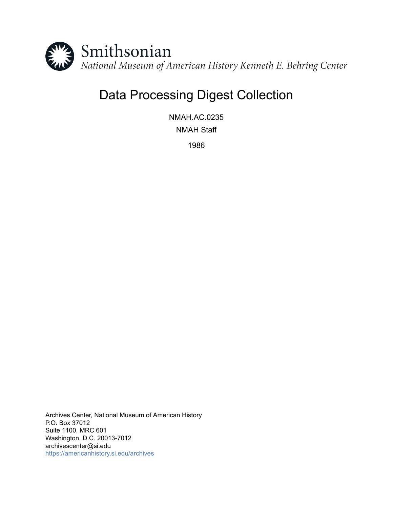

# Data Processing Digest Collection

NMAH.AC.0235 NMAH Staff

1986

Archives Center, National Museum of American History P.O. Box 37012 Suite 1100, MRC 601 Washington, D.C. 20013-7012 archivescenter@si.edu <https://americanhistory.si.edu/archives>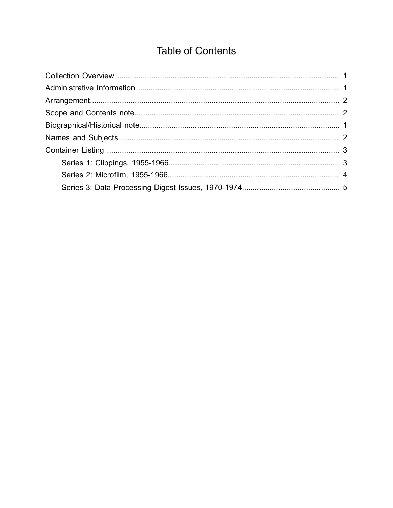# **Table of Contents**

<span id="page-1-0"></span>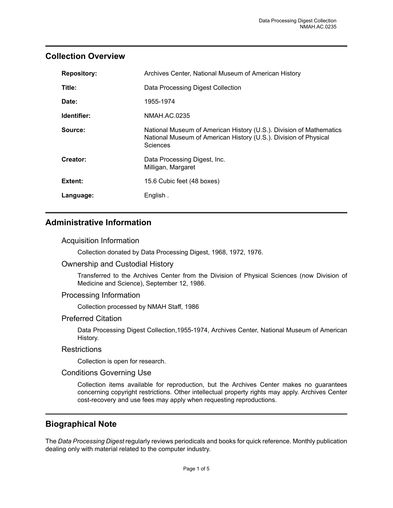#### <span id="page-2-0"></span>**Collection Overview**

| <b>Repository:</b> | Archives Center, National Museum of American History                                                                                                       |
|--------------------|------------------------------------------------------------------------------------------------------------------------------------------------------------|
| Title:             | Data Processing Digest Collection                                                                                                                          |
| Date:              | 1955-1974                                                                                                                                                  |
| Identifier:        | NMAH.AC.0235                                                                                                                                               |
| Source:            | National Museum of American History (U.S.). Division of Mathematics<br>National Museum of American History (U.S.). Division of Physical<br><b>Sciences</b> |
| Creator:           | Data Processing Digest, Inc.<br>Milligan, Margaret                                                                                                         |
| Extent:            | 15.6 Cubic feet (48 boxes)                                                                                                                                 |
| Language:          | English.                                                                                                                                                   |

### <span id="page-2-1"></span>**Administrative Information**

#### Acquisition Information

Collection donated by Data Processing Digest, 1968, 1972, 1976.

#### Ownership and Custodial History

Transferred to the Archives Center from the Division of Physical Sciences (now Division of Medicine and Science), September 12, 1986.

#### Processing Information

Collection processed by NMAH Staff, 1986

#### Preferred Citation

Data Processing Digest Collection,1955-1974, Archives Center, National Museum of American History.

#### **Restrictions**

Collection is open for research.

#### Conditions Governing Use

Collection items available for reproduction, but the Archives Center makes no guarantees concerning copyright restrictions. Other intellectual property rights may apply. Archives Center cost-recovery and use fees may apply when requesting reproductions.

#### <span id="page-2-2"></span>**Biographical Note**

The *Data Processing Digest* regularly reviews periodicals and books for quick reference. Monthly publication dealing only with material related to the computer industry.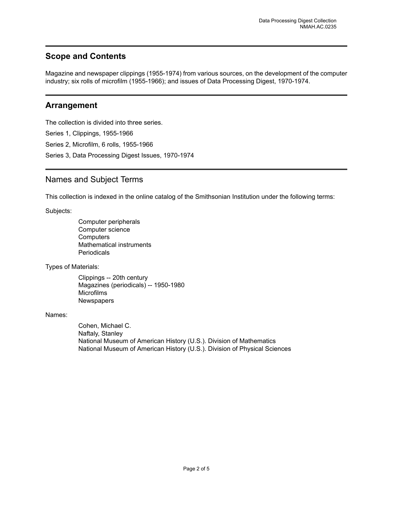#### <span id="page-3-1"></span>**Scope and Contents**

Magazine and newspaper clippings (1955-1974) from various sources, on the development of the computer industry; six rolls of microfilm (1955-1966); and issues of Data Processing Digest, 1970-1974.

#### <span id="page-3-0"></span>**Arrangement**

The collection is divided into three series. Series 1, Clippings, 1955-1966 Series 2, Microfilm, 6 rolls, 1955-1966 Series 3, Data Processing Digest Issues, 1970-1974

#### <span id="page-3-2"></span>Names and Subject Terms

This collection is indexed in the online catalog of the Smithsonian Institution under the following terms:

Subjects:

Computer peripherals Computer science **Computers** Mathematical instruments **Periodicals** 

Types of Materials:

Clippings -- 20th century Magazines (periodicals) -- 1950-1980 Microfilms **Newspapers** 

#### Names:

Cohen, Michael C. Naftaly, Stanley National Museum of American History (U.S.). Division of Mathematics National Museum of American History (U.S.). Division of Physical Sciences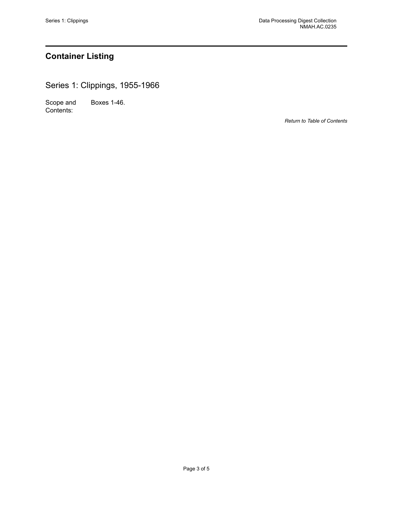# <span id="page-4-0"></span>**Container Listing**

<span id="page-4-1"></span>Series 1: Clippings, 1955-1966

Scope and Contents: Boxes 1-46.

*Return to Table of [Contents](#page-1-0)*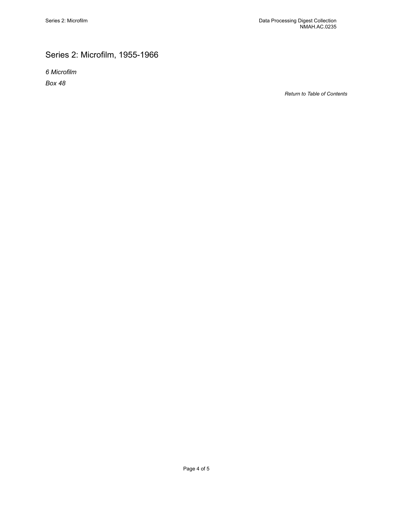# <span id="page-5-0"></span>Series 2: Microfilm, 1955-1966

*6 Microfilm Box 48*

*Return to Table of [Contents](#page-1-0)*